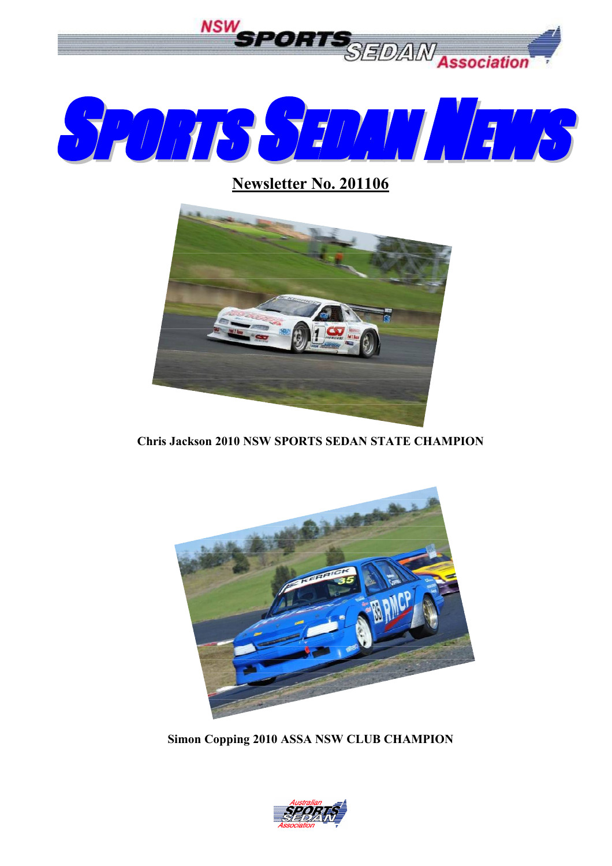

**Newsletter No. 201106**



**Chris Jackson 2010 NSW SPORTS SEDAN STATE CHAMPION**



**Simon Copping 2010 ASSA NSW CLUB CHAMPION**

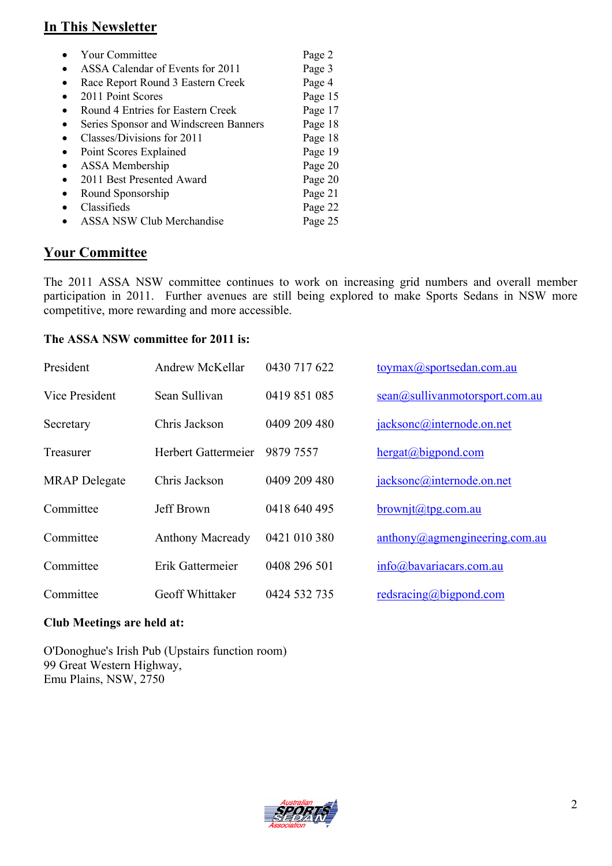#### **In This Newsletter**

| <b>Your Committee</b>                 | Page 2  |
|---------------------------------------|---------|
| ASSA Calendar of Events for 2011      | Page 3  |
| Race Report Round 3 Eastern Creek     | Page 4  |
| 2011 Point Scores                     | Page 15 |
| Round 4 Entries for Eastern Creek     | Page 17 |
| Series Sponsor and Windscreen Banners | Page 18 |
| Classes/Divisions for 2011            | Page 18 |
| Point Scores Explained                | Page 19 |
| ASSA Membership                       | Page 20 |
| 2011 Best Presented Award             | Page 20 |
| Round Sponsorship                     | Page 21 |
| Classifieds                           | Page 22 |
| <b>ASSA NSW Club Merchandise</b>      | Page 25 |

#### **Your Committee**

The 2011 ASSA NSW committee continues to work on increasing grid numbers and overall member participation in 2011. Further avenues are still being explored to make Sports Sedans in NSW more competitive, more rewarding and more accessible.

#### **The ASSA NSW committee for 2011 is:**

| President            | Andrew McKellar         | 0430 717 622 | toymax@sportsedan.com.au                                   |
|----------------------|-------------------------|--------------|------------------------------------------------------------|
| Vice President       | Sean Sullivan           | 0419 851 085 | sean@sullivanmotorsport.com.au                             |
| Secretary            | Chris Jackson           | 0409 209 480 | jacksonc@internode.on.net                                  |
| Treasurer            | Herbert Gattermeier     | 9879 7557    | hergat@bigpond.com                                         |
| <b>MRAP</b> Delegate | Chris Jackson           | 0409 209 480 | jacksonc@internode.on.net                                  |
| Committee            | Jeff Brown              | 0418 640 495 | $brown$ jt@tpg.com.au                                      |
| Committee            | <b>Anthony Macready</b> | 0421 010 380 | $\frac{\text{anthony}(a) \text{agmengineering.com.au}}{a}$ |
| Committee            | Erik Gattermeier        | 0408 296 501 | info@bavariacars.com.au                                    |
| Committee            | Geoff Whittaker         | 0424 532 735 | redsracing@bigpond.com                                     |

#### **Club Meetings are held at:**

O'Donoghue's Irish Pub (Upstairs function room) 99 Great Western Highway, Emu Plains, NSW, 2750

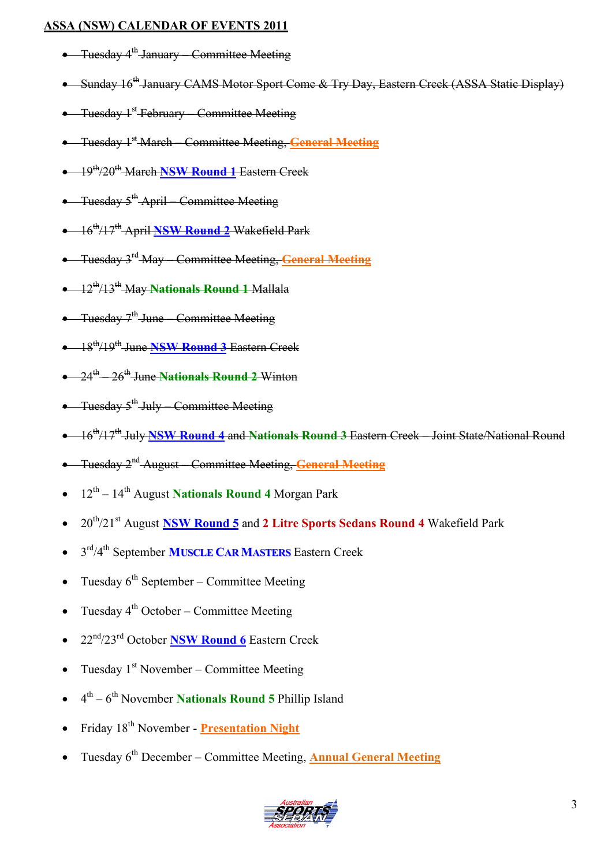#### **ASSA (NSW) CALENDAR OF EVENTS 2011**

- **•** Tuesday 4<sup>th</sup> January Committee Meeting
- Sunday 16<sup>th</sup> January CAMS Motor Sport Come & Try Day, Eastern Creek (ASSA Static Display)
- Tuesday 1<sup>st</sup> February Committee Meeting
- **•** Tuesday 1<sup>st</sup> March Committee Meeting, **General Meeting**
- 19th/20th March **NSW Round 1** Eastern Creek
- Tuesday 5<sup>th</sup> April Committee Meeting
- 16th/17th April **NSW Round 2** Wakefield Park
- Tuesday 3 rd May Committee Meeting, **General Meeting**
- 12th/13th May **Nationals Round 1** Mallala
- Tuesday 7<sup>th</sup> June Committee Meeting
- 18th/19th June **NSW Round 3** Eastern Creek
- 24<sup>th</sup> 26<sup>th</sup> June Nationals Round 2 Winton
- **•** Tuesday 5<sup>th</sup> July Committee Meeting
- 16th/17th July **NSW Round 4** and **Nationals Round 3** Eastern Creek Joint State/National Round
- **•** Tuesday 2<sup>nd</sup> August Committee Meeting, **General Meeting**
- 12<sup>th</sup> 14<sup>th</sup> August **Nationals Round 4** Morgan Park
- 20th/21st August **NSW Round 5** and **2 Litre Sports Sedans Round 4** Wakefield Park
- 3 rd/4th September **MUSCLE CARMASTERS** Eastern Creek
- Tuesday  $6^{\text{th}}$  September Committee Meeting
- Tuesday  $4^{\text{th}}$  October Committee Meeting
- 22nd/23rd October **NSW Round 6** Eastern Creek
- Tuesday  $1<sup>st</sup>$  November Committee Meeting
- 4<sup>th</sup> 6<sup>th</sup> November **Nationals Round 5** Phillip Island
- Friday 18<sup>th</sup> November **Presentation Night**
- **Tuesday 6<sup>th</sup> December Committee Meeting, <b>Annual General Meeting**

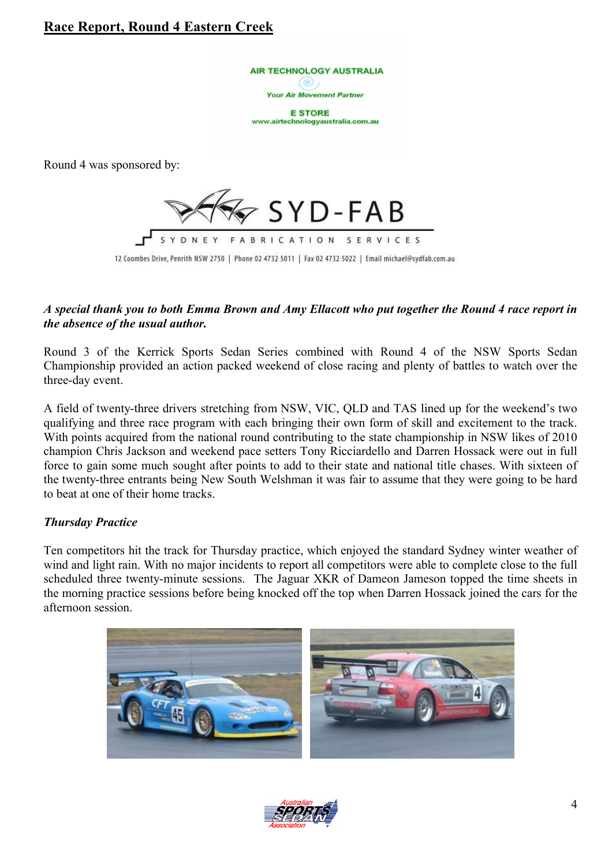#### **Race Report, Round 4 Eastern Creek**

AIR TECHNOLOGY AUSTRALIA ිම)

Your Air Movement Partner

**E STORE** www.airtechnologyaustralia.com.au

Round 4 was sponsored by:



#### *A special thank you to both Emma Brown and Amy Ellacott who put together the Round 4 race report in the absence of the usual author.*

Round 3 of the Kerrick Sports Sedan Series combined with Round 4 of the NSW Sports Sedan Championship provided an action packed weekend of close racing and plenty of battles to watch over the three-day event.

A field of twenty-three drivers stretching from NSW, VIC, QLD and TAS lined up for the weekend's two qualifying and three race program with each bringing their own form of skill and excitement to the track. With points acquired from the national round contributing to the state championship in NSW likes of 2010 champion Chris Jackson and weekend pace setters Tony Ricciardello and Darren Hossack were out in full force to gain some much sought after points to add to their state and national title chases. With sixteen of the twenty-three entrants being New South Welshman it was fair to assume that they were going to be hard to beat at one of their home tracks.

#### *Thursday Practice*

Ten competitors hit the track for Thursday practice, which enjoyed the standard Sydney winter weather of wind and light rain. With no major incidents to report all competitors were able to complete close to the full scheduled three twenty-minute sessions. The Jaguar XKR of Dameon Jameson topped the time sheets in the morning practice sessions before being knocked off the top when Darren Hossack joined the cars for the afternoon session.



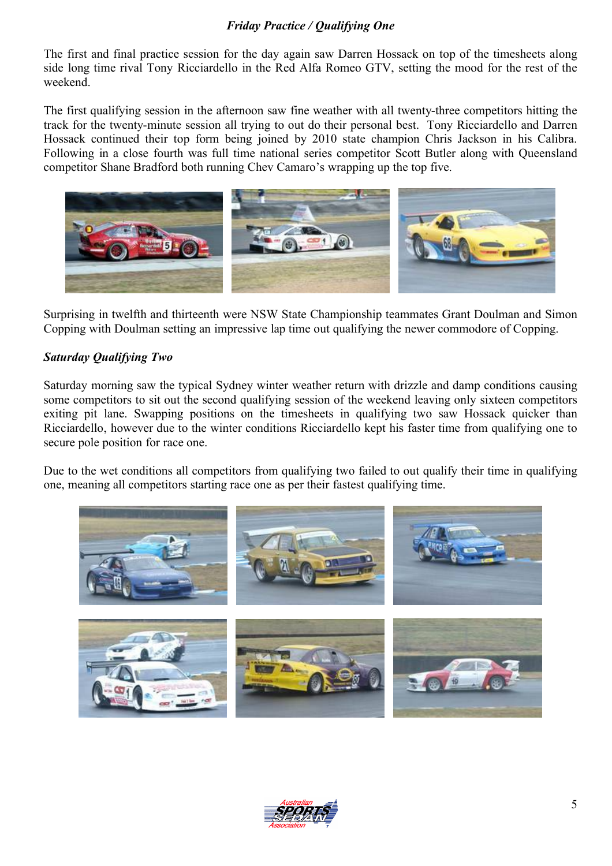#### *Friday Practice / Qualifying One*

The first and final practice session for the day again saw Darren Hossack on top of the timesheets along side long time rival Tony Ricciardello in the Red Alfa Romeo GTV, setting the mood for the rest of the weekend.

The first qualifying session in the afternoon saw fine weather with all twenty-three competitors hitting the track for the twenty-minute session all trying to out do their personal best. Tony Ricciardello and Darren Hossack continued their top form being joined by 2010 state champion Chris Jackson in his Calibra. Following in a close fourth was full time national series competitor Scott Butler along with Queensland competitor Shane Bradford both running Chev Camaro's wrapping up the top five.



Surprising in twelfth and thirteenth were NSW State Championship teammates Grant Doulman and Simon Copping with Doulman setting an impressive lap time out qualifying the newer commodore of Copping.

#### *Saturday Qualifying Two*

Saturday morning saw the typical Sydney winter weather return with drizzle and damp conditions causing some competitors to sit out the second qualifying session of the weekend leaving only sixteen competitors exiting pit lane. Swapping positions on the timesheets in qualifying two saw Hossack quicker than Ricciardello, however due to the winter conditions Ricciardello kept his faster time from qualifying one to secure pole position for race one.

Due to the wet conditions all competitors from qualifying two failed to out qualify their time in qualifying one, meaning all competitors starting race one as per their fastest qualifying time.



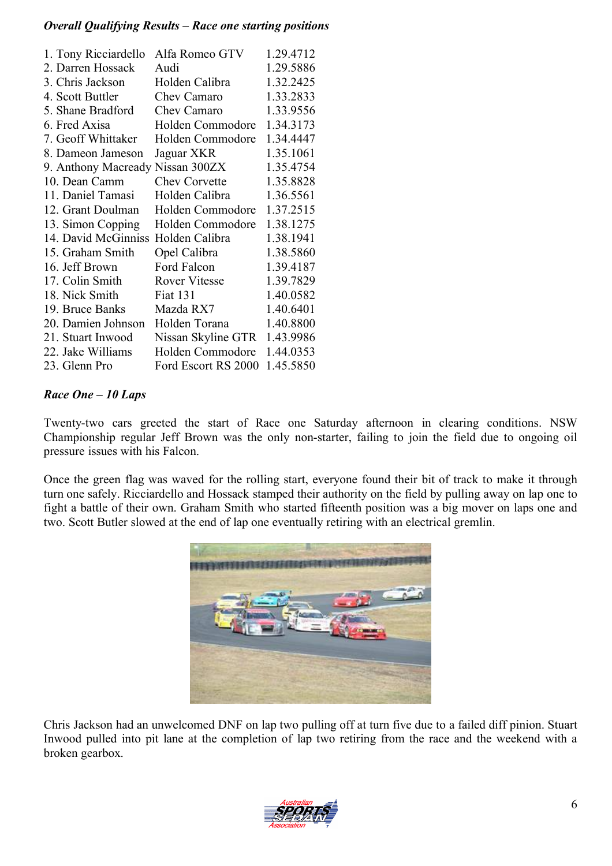#### *Overall Qualifying Results – Race one starting positions*

| 1. Tony Ricciardello | Alfa Romeo GTV       | 1.29.4712 |
|----------------------|----------------------|-----------|
| 2. Darren Hossack    | Audi                 | 1.29.5886 |
| 3. Chris Jackson     | Holden Calibra       | 1.32.2425 |
| 4. Scott Buttler     | Chev Camaro          | 1.33.2833 |
| 5. Shane Bradford    | Chev Camaro          | 1.33.9556 |
| 6. Fred Axisa        | Holden Commodore     | 1.34.3173 |
| 7. Geoff Whittaker   | Holden Commodore     | 1.34.4447 |
| 8. Dameon Jameson    | Jaguar XKR           | 1.35.1061 |
| 9. Anthony Macready  | Nissan 300ZX         | 1.35.4754 |
| 10. Dean Camm        | <b>Chev Corvette</b> | 1.35.8828 |
| 11. Daniel Tamasi    | Holden Calibra       | 1.36.5561 |
| 12. Grant Doulman    | Holden Commodore     | 1.37.2515 |
| 13. Simon Copping    | Holden Commodore     | 1.38.1275 |
| 14. David McGinniss  | Holden Calibra       | 1.38.1941 |
| 15. Graham Smith     | Opel Calibra         | 1.38.5860 |
| 16. Jeff Brown       | Ford Falcon          | 1.39.4187 |
| 17. Colin Smith      | <b>Rover Vitesse</b> | 1.39.7829 |
| 18. Nick Smith       | <b>Fiat 131</b>      | 1.40.0582 |
| 19. Bruce Banks      | Mazda RX7            | 1.40.6401 |
| 20. Damien Johnson   | Holden Torana        | 1.40.8800 |
| 21. Stuart Inwood    | Nissan Skyline GTR   | 1.43.9986 |
| 22. Jake Williams    | Holden Commodore     | 1.44.0353 |
| 23. Glenn Pro        | Ford Escort RS 2000  | 1.45.5850 |
|                      |                      |           |

#### *Race One – 10 Laps*

Twenty-two cars greeted the start of Race one Saturday afternoon in clearing conditions. NSW Championship regular Jeff Brown was the only non-starter, failing to join the field due to ongoing oil pressure issues with his Falcon.

Once the green flag was waved for the rolling start, everyone found their bit of track to make it through turn one safely. Ricciardello and Hossack stamped their authority on the field by pulling away on lap one to fight a battle of their own. Graham Smith who started fifteenth position was a big mover on laps one and two. Scott Butler slowed at the end of lap one eventually retiring with an electrical gremlin.



Chris Jackson had an unwelcomed DNF on lap two pulling off at turn five due to a failed diff pinion. Stuart Inwood pulled into pit lane at the completion of lap two retiring from the race and the weekend with a broken gearbox.

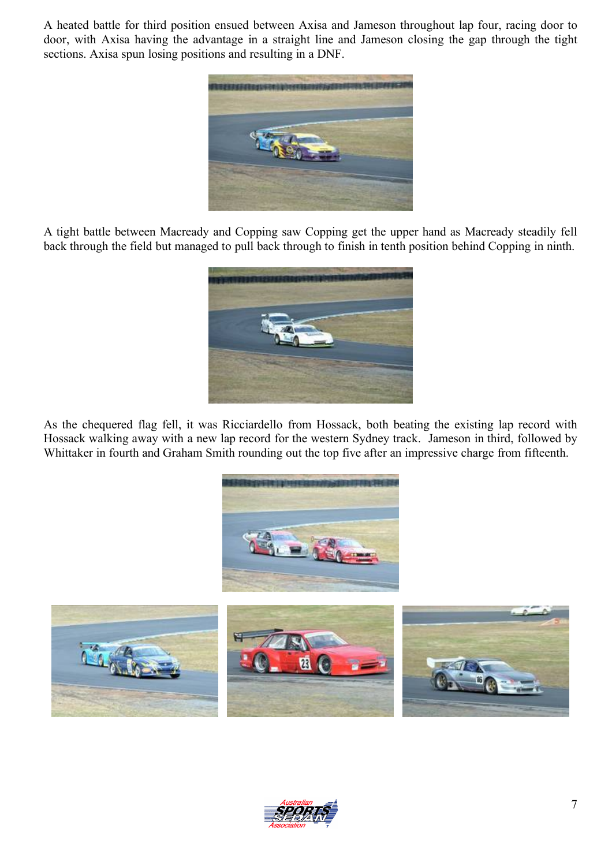A heated battle for third position ensued between Axisa and Jameson throughout lap four, racing door to door, with Axisa having the advantage in a straight line and Jameson closing the gap through the tight sections. Axisa spun losing positions and resulting in a DNF.



A tight battle between Macready and Copping saw Copping get the upper hand as Macready steadily fell back through the field but managed to pull back through to finish in tenth position behind Copping in ninth.



As the chequered flag fell, it was Ricciardello from Hossack, both beating the existing lap record with Hossack walking away with a new lap record for the western Sydney track. Jameson in third, followed by Whittaker in fourth and Graham Smith rounding out the top five after an impressive charge from fifteenth.





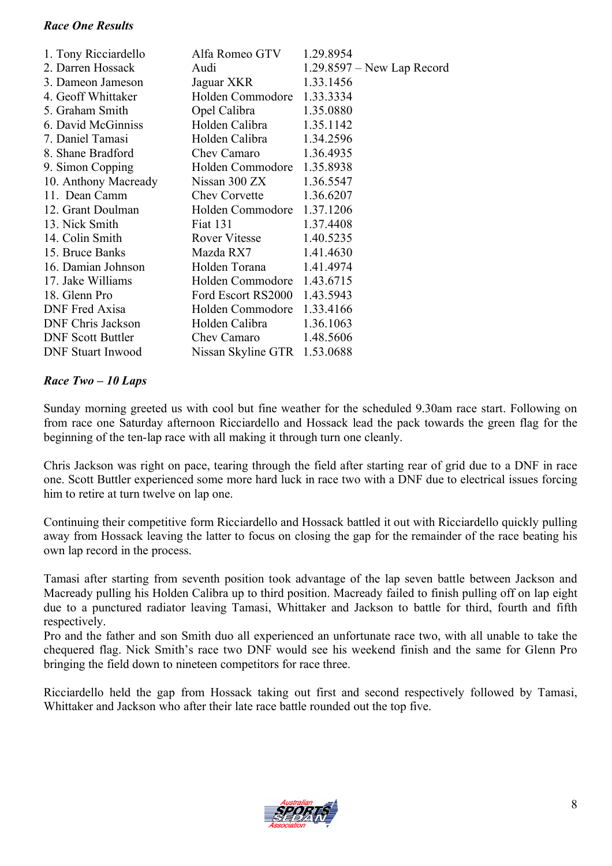#### *Race One Results*

| 1. Tony Ricciardello     | Alfa Romeo GTV               | 1.29.8954                    |
|--------------------------|------------------------------|------------------------------|
| 2. Darren Hossack        | Audi                         | $1.29.8597 - New Lap Record$ |
| 3. Dameon Jameson        | Jaguar XKR                   | 1.33.1456                    |
| 4. Geoff Whittaker       | Holden Commodore             | 1.33.3334                    |
| 5. Graham Smith          | Opel Calibra                 | 1.35.0880                    |
| 6. David McGinniss       | Holden Calibra               | 1.35.1142                    |
| 7. Daniel Tamasi         | Holden Calibra               | 1.34.2596                    |
| 8. Shane Bradford        | Chev Camaro                  | 1.36.4935                    |
| 9. Simon Copping         | Holden Commodore 1.35.8938   |                              |
| 10. Anthony Macready     | Nissan 300 ZX                | 1.36.5547                    |
| 11. Dean Camm            | <b>Chev Corvette</b>         | 1.36.6207                    |
| 12. Grant Doulman        | Holden Commodore 1.37.1206   |                              |
| 13. Nick Smith           | <b>Fiat 131</b>              | 1.37.4408                    |
| 14. Colin Smith          | <b>Rover Vitesse</b>         | 1.40.5235                    |
| 15. Bruce Banks          | Mazda RX7                    | 1.41.4630                    |
| 16. Damian Johnson       | Holden Torana                | 1.41.4974                    |
| 17. Jake Williams        | Holden Commodore 1.43.6715   |                              |
| 18. Glenn Pro            | Ford Escort RS2000 1.43.5943 |                              |
| <b>DNF</b> Fred Axisa    | Holden Commodore 1.33.4166   |                              |
| <b>DNF Chris Jackson</b> | Holden Calibra               | 1.36.1063                    |
| <b>DNF Scott Buttler</b> | Chev Camaro                  | 1.48.5606                    |
| <b>DNF</b> Stuart Inwood | Nissan Skyline GTR 1.53.0688 |                              |

#### *Race Two – 10 Laps*

Sunday morning greeted us with cool but fine weather for the scheduled 9.30am race start. Following on from race one Saturday afternoon Ricciardello and Hossack lead the pack towards the green flag for the beginning of the ten-lap race with all making it through turn one cleanly.

Chris Jackson was right on pace, tearing through the field after starting rear of grid due to a DNF in race one. Scott Buttler experienced some more hard luck in race two with a DNF due to electrical issues forcing him to retire at turn twelve on lap one.

Continuing their competitive form Ricciardello and Hossack battled it out with Ricciardello quickly pulling away from Hossack leaving the latter to focus on closing the gap for the remainder of the race beating his own lap record in the process.

Tamasi after starting from seventh position took advantage of the lap seven battle between Jackson and Macready pulling his Holden Calibra up to third position. Macready failed to finish pulling off on lap eight due to a punctured radiator leaving Tamasi, Whittaker and Jackson to battle for third, fourth and fifth respectively.

Pro and the father and son Smith duo all experienced an unfortunate race two, with all unable to take the chequered flag. Nick Smith's race two DNF would see his weekend finish and the same for Glenn Pro bringing the field down to nineteen competitors for race three.

Ricciardello held the gap from Hossack taking out first and second respectively followed by Tamasi, Whittaker and Jackson who after their late race battle rounded out the top five.

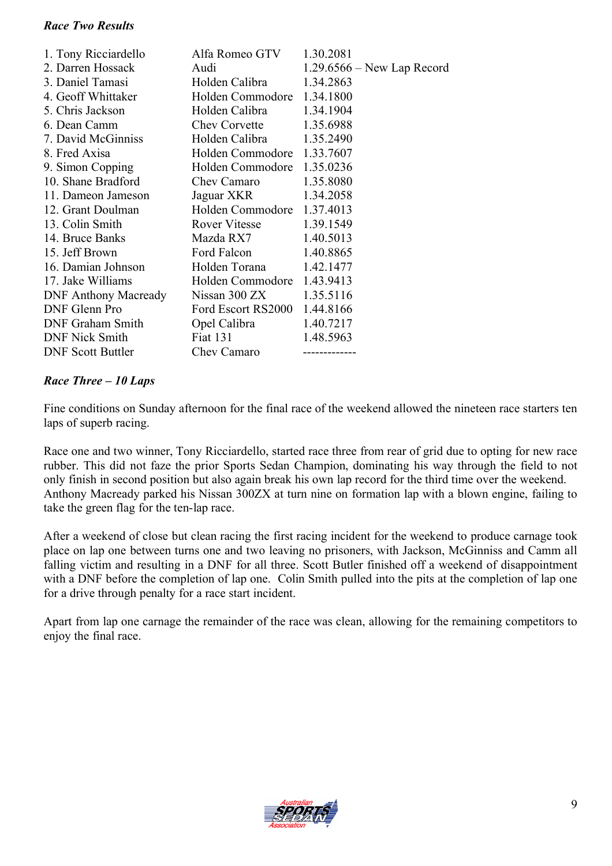#### *Race Two Results*

| 1. Tony Ricciardello        | Alfa Romeo GTV               | 1.30.2081                    |
|-----------------------------|------------------------------|------------------------------|
| 2. Darren Hossack           | Audi                         | $1.29.6566 - New Lap Record$ |
| 3. Daniel Tamasi            | Holden Calibra               | 1.34.2863                    |
| 4. Geoff Whittaker          | Holden Commodore 1.34.1800   |                              |
| 5. Chris Jackson            | Holden Calibra               | 1.34.1904                    |
| 6. Dean Camm                | <b>Chev Corvette</b>         | 1.35.6988                    |
| 7. David McGinniss          | Holden Calibra               | 1.35.2490                    |
| 8. Fred Axisa               | Holden Commodore 1.33.7607   |                              |
| 9. Simon Copping            | Holden Commodore 1.35.0236   |                              |
| 10. Shane Bradford          | Chev Camaro                  | 1.35.8080                    |
| 11. Dameon Jameson          | Jaguar XKR                   | 1.34.2058                    |
| 12. Grant Doulman           | Holden Commodore             | 1.37.4013                    |
| 13. Colin Smith             | Rover Vitesse                | 1.39.1549                    |
| 14. Bruce Banks             | Mazda RX7                    | 1.40.5013                    |
| 15. Jeff Brown              | Ford Falcon                  | 1.40.8865                    |
| 16. Damian Johnson          | Holden Torana                | 1.42.1477                    |
| 17. Jake Williams           | Holden Commodore 1.43.9413   |                              |
| <b>DNF Anthony Macready</b> | Nissan $300 ZX$              | 1.35.5116                    |
| DNF Glenn Pro               | Ford Escort RS2000 1.44.8166 |                              |
| <b>DNF Graham Smith</b>     | Opel Calibra                 | 1.40.7217                    |
| <b>DNF Nick Smith</b>       | <b>Fiat 131</b>              | 1.48.5963                    |
| <b>DNF</b> Scott Buttler    | Chev Camaro                  |                              |

#### *Race Three – 10 Laps*

Fine conditions on Sunday afternoon for the final race of the weekend allowed the nineteen race starters ten laps of superb racing.

Race one and two winner, Tony Ricciardello, started race three from rear of grid due to opting for new race rubber. This did not faze the prior Sports Sedan Champion, dominating his way through the field to not only finish in second position but also again break his own lap record for the third time over the weekend. Anthony Macready parked his Nissan 300ZX at turn nine on formation lap with a blown engine, failing to take the green flag for the ten-lap race.

After a weekend of close but clean racing the first racing incident for the weekend to produce carnage took place on lap one between turns one and two leaving no prisoners, with Jackson, McGinniss and Camm all falling victim and resulting in a DNF for all three. Scott Butler finished off a weekend of disappointment with a DNF before the completion of lap one. Colin Smith pulled into the pits at the completion of lap one for a drive through penalty for a race start incident.

Apart from lap one carnage the remainder of the race was clean, allowing for the remaining competitors to enjoy the final race.

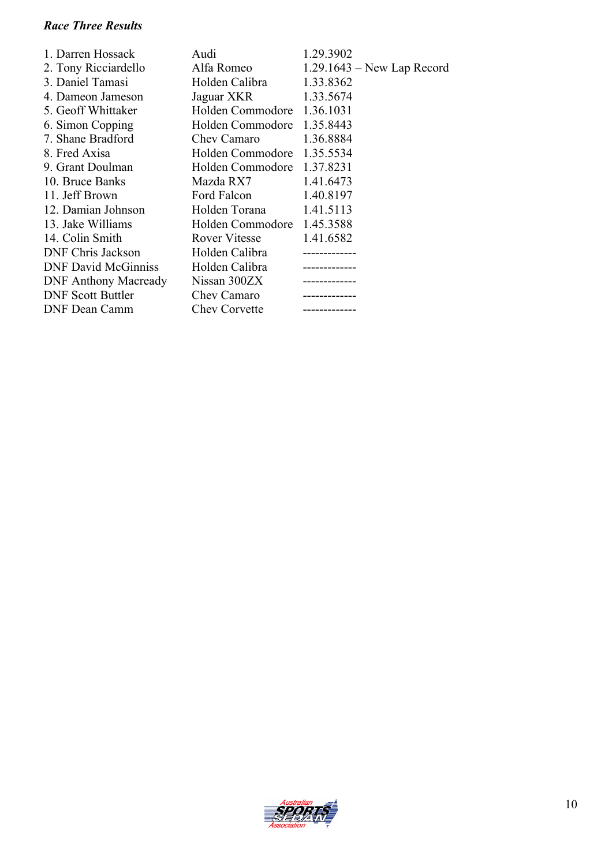#### *Race Three Results*

| 1. Darren Hossack           | Audi                 | 1.29.3902                    |
|-----------------------------|----------------------|------------------------------|
| 2. Tony Ricciardello        | Alfa Romeo           | $1.29.1643$ – New Lap Record |
| 3. Daniel Tamasi            | Holden Calibra       | 1.33.8362                    |
| 4. Dameon Jameson           | Jaguar XKR           | 1.33.5674                    |
| 5. Geoff Whittaker          | Holden Commodore     | 1.36.1031                    |
| 6. Simon Copping            | Holden Commodore     | 1.35.8443                    |
| 7. Shane Bradford           | Chev Camaro          | 1.36.8884                    |
| 8. Fred Axisa               | Holden Commodore     | 1.35.5534                    |
| 9. Grant Doulman            | Holden Commodore     | 1.37.8231                    |
| 10. Bruce Banks             | Mazda RX7            | 1.41.6473                    |
| 11. Jeff Brown              | Ford Falcon          | 1.40.8197                    |
| 12. Damian Johnson          | Holden Torana        | 1.41.5113                    |
| 13. Jake Williams           | Holden Commodore     | 1.45.3588                    |
| 14. Colin Smith             | <b>Rover Vitesse</b> | 1.41.6582                    |
| DNF Chris Jackson           | Holden Calibra       |                              |
| <b>DNF David McGinniss</b>  | Holden Calibra       |                              |
| <b>DNF Anthony Macready</b> | Nissan 300ZX         |                              |
| <b>DNF Scott Buttler</b>    | Chev Camaro          |                              |
| <b>DNF Dean Camm</b>        | <b>Chev Corvette</b> |                              |

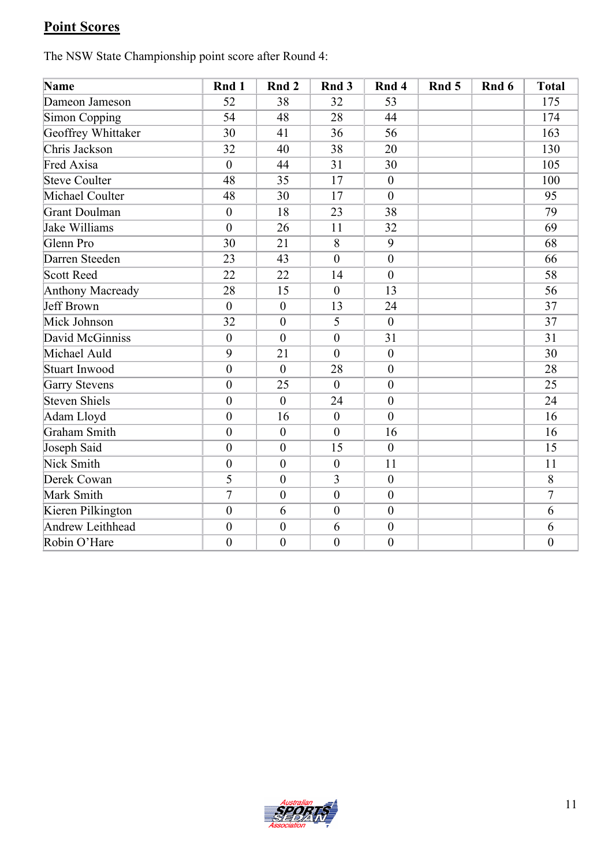# **Point Scores**

The NSW State Championship point score after Round 4:

| Name                    | Rnd 1            | Rnd 2            | Rnd <sub>3</sub> | Rnd 4            | Rnd 5 | Rnd 6 | <b>Total</b>     |
|-------------------------|------------------|------------------|------------------|------------------|-------|-------|------------------|
| Dameon Jameson          | 52               | 38               | 32               | 53               |       |       | 175              |
| <b>Simon Copping</b>    | 54               | 48               | 28               | 44               |       |       | 174              |
| Geoffrey Whittaker      | 30               | 41               | 36               | 56               |       |       | 163              |
| Chris Jackson           | 32               | 40               | 38               | 20               |       |       | 130              |
| Fred Axisa              | $\boldsymbol{0}$ | 44               | 31               | 30               |       |       | 105              |
| <b>Steve Coulter</b>    | 48               | 35               | 17               | $\boldsymbol{0}$ |       |       | 100              |
| Michael Coulter         | 48               | 30               | 17               | $\mathbf{0}$     |       |       | 95               |
| Grant Doulman           | $\overline{0}$   | 18               | 23               | 38               |       |       | 79               |
| Jake Williams           | $\boldsymbol{0}$ | 26               | 11               | 32               |       |       | 69               |
| Glenn Pro               | 30               | 21               | 8                | 9                |       |       | 68               |
| Darren Steeden          | 23               | 43               | $\overline{0}$   | $\boldsymbol{0}$ |       |       | 66               |
| <b>Scott Reed</b>       | 22               | 22               | 14               | $\mathbf{0}$     |       |       | 58               |
| <b>Anthony Macready</b> | 28               | 15               | $\overline{0}$   | 13               |       |       | 56               |
| <b>Jeff Brown</b>       | $\overline{0}$   | $\boldsymbol{0}$ | 13               | 24               |       |       | 37               |
| Mick Johnson            | 32               | $\overline{0}$   | 5                | $\overline{0}$   |       |       | 37               |
| David McGinniss         | $\overline{0}$   | $\overline{0}$   | $\overline{0}$   | 31               |       |       | 31               |
| Michael Auld            | 9                | 21               | $\overline{0}$   | $\boldsymbol{0}$ |       |       | 30               |
| <b>Stuart Inwood</b>    | $\overline{0}$   | $\mathbf{0}$     | 28               | $\boldsymbol{0}$ |       |       | 28               |
| <b>Garry Stevens</b>    | $\boldsymbol{0}$ | 25               | $\overline{0}$   | $\boldsymbol{0}$ |       |       | 25               |
| <b>Steven Shiels</b>    | $\boldsymbol{0}$ | $\overline{0}$   | 24               | $\mathbf{0}$     |       |       | 24               |
| Adam Lloyd              | $\boldsymbol{0}$ | 16               | $\boldsymbol{0}$ | $\mathbf{0}$     |       |       | 16               |
| Graham Smith            | $\boldsymbol{0}$ | $\boldsymbol{0}$ | $\overline{0}$   | 16               |       |       | 16               |
| Joseph Said             | $\boldsymbol{0}$ | $\boldsymbol{0}$ | 15               | $\mathbf{0}$     |       |       | 15               |
| Nick Smith              | $\overline{0}$   | $\overline{0}$   | $\overline{0}$   | 11               |       |       | 11               |
| Derek Cowan             | 5                | $\overline{0}$   | 3                | $\boldsymbol{0}$ |       |       | 8                |
| Mark Smith              | $\overline{7}$   | $\overline{0}$   | $\overline{0}$   | $\overline{0}$   |       |       | $\overline{7}$   |
| Kieren Pilkington       | $\boldsymbol{0}$ | 6                | $\boldsymbol{0}$ | $\boldsymbol{0}$ |       |       | 6                |
| <b>Andrew Leithhead</b> | $\boldsymbol{0}$ | $\boldsymbol{0}$ | 6                | $\boldsymbol{0}$ |       |       | 6                |
| Robin O'Hare            | $\boldsymbol{0}$ | $\boldsymbol{0}$ | $\boldsymbol{0}$ | $\boldsymbol{0}$ |       |       | $\boldsymbol{0}$ |

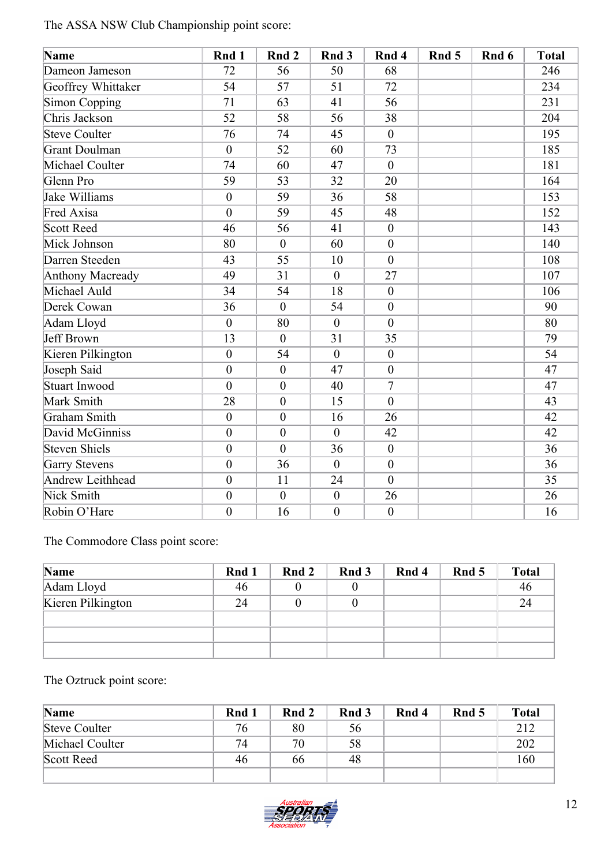The ASSA NSW Club Championship point score:

| Name                    | Rnd 1            | Rnd 2            | Rnd 3            | Rnd 4            | Rnd 5 | Rnd 6 | <b>Total</b> |
|-------------------------|------------------|------------------|------------------|------------------|-------|-------|--------------|
| Dameon Jameson          | 72               | 56               | 50               | 68               |       |       | 246          |
| Geoffrey Whittaker      | 54               | 57               | 51               | 72               |       |       | 234          |
| <b>Simon Copping</b>    | 71               | 63               | 41               | 56               |       |       | 231          |
| Chris Jackson           | 52               | 58               | 56               | 38               |       |       | 204          |
| <b>Steve Coulter</b>    | 76               | 74               | 45               | $\boldsymbol{0}$ |       |       | 195          |
| Grant Doulman           | $\boldsymbol{0}$ | 52               | 60               | 73               |       |       | 185          |
| Michael Coulter         | 74               | 60               | 47               | $\mathbf{0}$     |       |       | 181          |
| Glenn Pro               | 59               | 53               | 32               | 20               |       |       | 164          |
| <b>Jake Williams</b>    | $\overline{0}$   | 59               | 36               | 58               |       |       | 153          |
| Fred Axisa              | $\overline{0}$   | 59               | 45               | 48               |       |       | 152          |
| <b>Scott Reed</b>       | 46               | 56               | 41               | $\boldsymbol{0}$ |       |       | 143          |
| Mick Johnson            | 80               | $\theta$         | 60               | $\boldsymbol{0}$ |       |       | 140          |
| Darren Steeden          | 43               | 55               | 10               | $\mathbf{0}$     |       |       | 108          |
| <b>Anthony Macready</b> | 49               | 31               | $\mathbf{0}$     | 27               |       |       | 107          |
| Michael Auld            | 34               | 54               | 18               | $\mathbf{0}$     |       |       | 106          |
| Derek Cowan             | 36               | $\theta$         | 54               | $\boldsymbol{0}$ |       |       | 90           |
| Adam Lloyd              | $\overline{0}$   | 80               | $\overline{0}$   | $\overline{0}$   |       |       | 80           |
| <b>Jeff Brown</b>       | 13               | $\mathbf{0}$     | 31               | 35               |       |       | 79           |
| Kieren Pilkington       | $\boldsymbol{0}$ | 54               | $\overline{0}$   | $\boldsymbol{0}$ |       |       | 54           |
| Joseph Said             | $\boldsymbol{0}$ | $\mathbf{0}$     | 47               | $\boldsymbol{0}$ |       |       | 47           |
| <b>Stuart Inwood</b>    | $\overline{0}$   | $\overline{0}$   | 40               | $\overline{7}$   |       |       | 47           |
| Mark Smith              | 28               | $\boldsymbol{0}$ | 15               | $\mathbf{0}$     |       |       | 43           |
| Graham Smith            | $\overline{0}$   | $\overline{0}$   | 16               | 26               |       |       | 42           |
| David McGinniss         | $\boldsymbol{0}$ | $\boldsymbol{0}$ | $\overline{0}$   | 42               |       |       | 42           |
| <b>Steven Shiels</b>    | $\boldsymbol{0}$ | $\overline{0}$   | 36               | $\boldsymbol{0}$ |       |       | 36           |
| <b>Garry Stevens</b>    | $\overline{0}$   | 36               | $\boldsymbol{0}$ | $\boldsymbol{0}$ |       |       | 36           |
| <b>Andrew Leithhead</b> | $\overline{0}$   | 11               | 24               | $\overline{0}$   |       |       | 35           |
| Nick Smith              | $\boldsymbol{0}$ | $\mathbf{0}$     | $\mathbf{0}$     | 26               |       |       | 26           |
| Robin O'Hare            | $\boldsymbol{0}$ | 16               | $\boldsymbol{0}$ | $\boldsymbol{0}$ |       |       | 16           |

The Commodore Class point score:

| Name              | Rnd 1 | Rnd 2 | Rnd 3 | Rnd 4 | Rnd 5 | <b>Total</b> |
|-------------------|-------|-------|-------|-------|-------|--------------|
| Adam Lloyd        | 46    |       |       |       |       | 46           |
| Kieren Pilkington | 24    |       |       |       |       | 24           |
|                   |       |       |       |       |       |              |
|                   |       |       |       |       |       |              |
|                   |       |       |       |       |       |              |

#### The Oztruck point score:

| Name            | Rnd 1 | Rnd 2 | Rnd 3 | Rnd 4 | Rnd 5 | <b>Total</b> |
|-----------------|-------|-------|-------|-------|-------|--------------|
| Steve Coulter   | 76    | 80    | 56    |       |       | 212          |
| Michael Coulter | 74    | 70    | 58    |       |       | 202          |
| Scott Reed      | 46.   | 66    | 48    |       |       | 160          |
|                 |       |       |       |       |       |              |

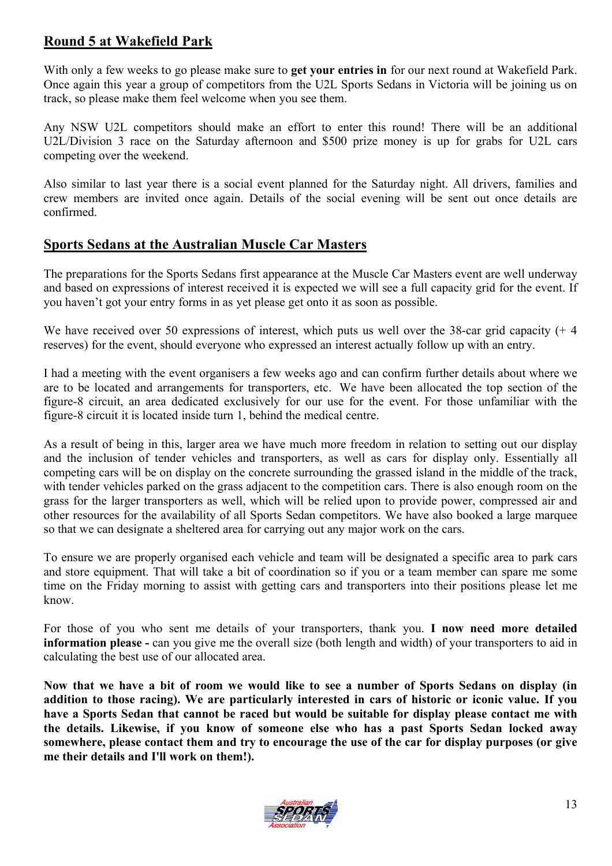#### **Round 5 at Wakefield Park**

With only a few weeks to go please make sure to **get your entries in** for our next round at Wakefield Park. Once again this year a group of competitors from the U2L Sports Sedans in Victoria will be joining us on track, so please make them feel welcome when you see them.

Any NSW U2L competitors should make an effort to enter this round! There will be an additional U2L/Division 3 race on the Saturday afternoon and \$500 prize money is up for grabs for U2L cars competing over the weekend.

Also similar to last year there is a social event planned for the Saturday night. All drivers, families and crew members are invited once again. Details of the social evening will be sent out once details are confirmed.

#### **Sports Sedans at the Australian Muscle Car Masters**

The preparations for the Sports Sedans first appearance at the Muscle Car Masters event are well underway and based on expressions of interest received it is expected we will see a full capacity grid for the event. If you haven't got your entry forms in as yet please get onto it as soon as possible.

We have received over 50 expressions of interest, which puts us well over the 38-car grid capacity (+ 4 reserves) for the event, should everyone who expressed an interest actually follow up with an entry.

I had a meeting with the event organisers a few weeks ago and can confirm further details about where we are to be located and arrangements for transporters, etc. We have been allocated the top section of the figure-8 circuit, an area dedicated exclusively for our use for the event. For those unfamiliar with the figure-8 circuit it is located inside turn 1, behind the medical centre.

As a result of being in this, larger area we have much more freedom in relation to setting out our display and the inclusion of tender vehicles and transporters, as well as cars for display only. Essentially all competing cars will be on display on the concrete surrounding the grassed island in the middle of the track, with tender vehicles parked on the grass adjacent to the competition cars. There is also enough room on the grass for the larger transporters as well, which will be relied upon to provide power, compressed air and other resources for the availability of all Sports Sedan competitors. We have also booked a large marquee so that we can designate a sheltered area for carrying out any major work on the cars.

To ensure we are properly organised each vehicle and team will be designated a specific area to park cars and store equipment. That will take a bit of coordination so if you or a team member can spare me some time on the Friday morning to assist with getting cars and transporters into their positions please let me know.

For those of you who sent me details of your transporters, thank you. **I now need more detailed information please -** can you give me the overall size (both length and width) of your transporters to aid in calculating the best use of our allocated area.

**Now that we have a bit of room we would like to see a number of Sports Sedans on display (in addition to those racing). We are particularly interested in cars of historic or iconic value. If you have a Sports Sedan that cannot be raced but would be suitable for display please contact me with the details. Likewise, if you know of someone else who has a past Sports Sedan locked away somewhere, please contact them and try to encourage the use of the car for display purposes (or give me their details and I'll work on them!).**

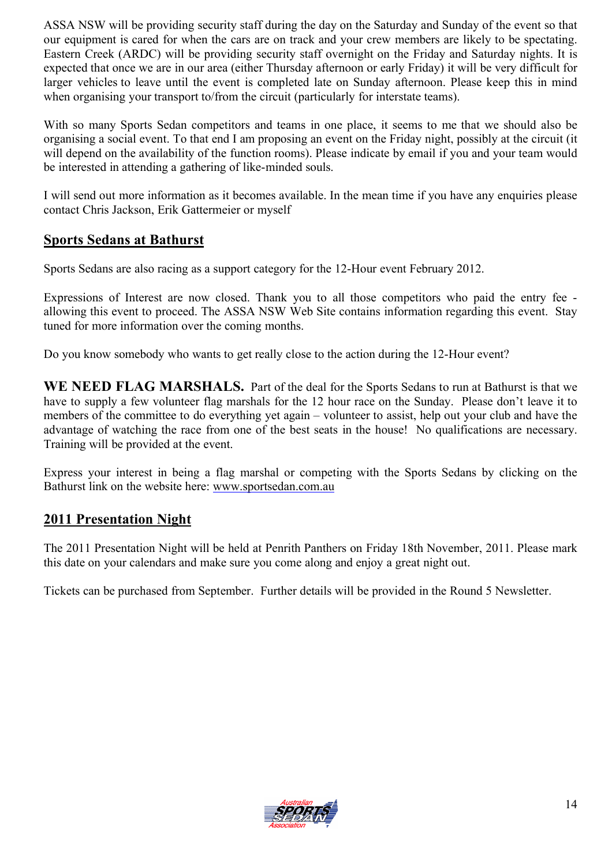ASSA NSW will be providing security staff during the day on the Saturday and Sunday of the event so that our equipment is cared for when the cars are on track and your crew members are likely to be spectating. Eastern Creek (ARDC) will be providing security staff overnight on the Friday and Saturday nights. It is expected that once we are in our area (either Thursday afternoon or early Friday) it will be very difficult for larger vehicles to leave until the event is completed late on Sunday afternoon. Please keep this in mind when organising your transport to/from the circuit (particularly for interstate teams).

With so many Sports Sedan competitors and teams in one place, it seems to me that we should also be organising a social event. To that end I am proposing an event on the Friday night, possibly at the circuit (it will depend on the availability of the function rooms). Please indicate by email if you and your team would be interested in attending a gathering of like-minded souls.

I will send out more information as it becomes available. In the mean time if you have any enquiries please contact Chris Jackson, Erik Gattermeier or myself

#### **Sports Sedans at Bathurst**

Sports Sedans are also racing as a support category for the 12-Hour event February 2012.

Expressions of Interest are now closed. Thank you to all those competitors who paid the entry fee allowing this event to proceed. The ASSA NSW Web Site contains information regarding this event. Stay tuned for more information over the coming months.

Do you know somebody who wants to get really close to the action during the 12-Hour event?

WE NEED FLAG MARSHALS. Part of the deal for the Sports Sedans to run at Bathurst is that we have to supply a few volunteer flag marshals for the 12 hour race on the Sunday. Please don't leave it to members of the committee to do everything yet again – volunteer to assist, help out your club and have the advantage of watching the race from one of the best seats in the house! No qualifications are necessary. Training will be provided at the event.

Express your interest in being a flag marshal or competing with the Sports Sedans by clicking on the Bathurst link on the website here: [www.sportsedan.com.au](http://www.sportsedan.com.au/)

#### **2011 Presentation Night**

The 2011 Presentation Night will be held at Penrith Panthers on Friday 18th November, 2011. Please mark this date on your calendars and make sure you come along and enjoy a great night out.

Tickets can be purchased from September. Further details will be provided in the Round 5 Newsletter.

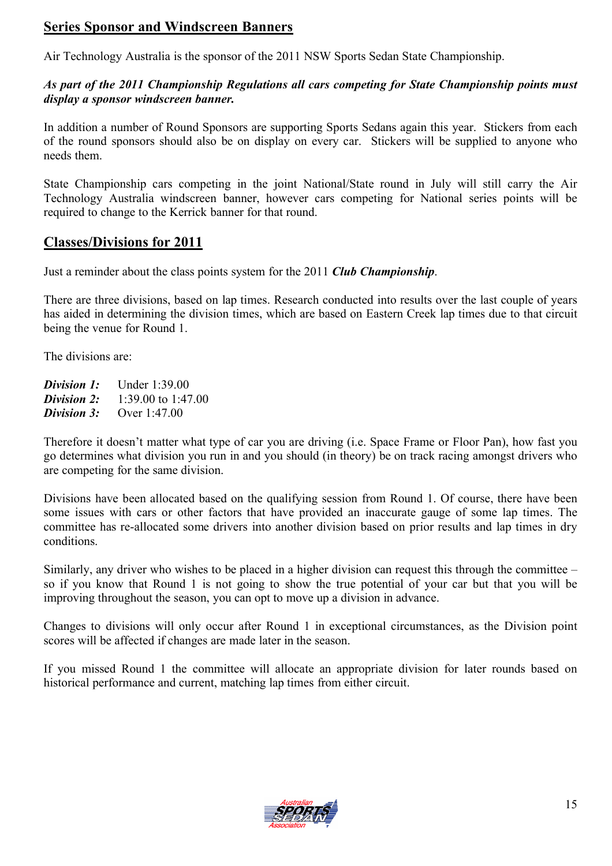#### **Series Sponsor and Windscreen Banners**

Air Technology Australia is the sponsor of the 2011 NSW Sports Sedan State Championship.

#### *As part of the 2011 Championship Regulations all cars competing for State Championship points must display a sponsor windscreen banner.*

In addition a number of Round Sponsors are supporting Sports Sedans again this year. Stickers from each of the round sponsors should also be on display on every car. Stickers will be supplied to anyone who needs them.

State Championship cars competing in the joint National/State round in July will still carry the Air Technology Australia windscreen banner, however cars competing for National series points will be required to change to the Kerrick banner for that round.

#### **Classes/Divisions for 2011**

Just a reminder about the class points system for the 2011 *Club Championship*.

There are three divisions, based on lap times. Research conducted into results over the last couple of years has aided in determining the division times, which are based on Eastern Creek lap times due to that circuit being the venue for Round 1.

The divisions are:

*Division 1:* Under 1:39.00 *Division 2:* 1:39.00 to 1:47.00 **Division 3:** Over 1:47.00

Therefore it doesn't matter what type of car you are driving (i.e. Space Frame or Floor Pan), how fast you go determines what division you run in and you should (in theory) be on track racing amongst drivers who are competing for the same division.

Divisions have been allocated based on the qualifying session from Round 1. Of course, there have been some issues with cars or other factors that have provided an inaccurate gauge of some lap times. The committee has re-allocated some drivers into another division based on prior results and lap times in dry conditions.

Similarly, any driver who wishes to be placed in a higher division can request this through the committee – so if you know that Round 1 is not going to show the true potential of your car but that you will be improving throughout the season, you can opt to move up a division in advance.

Changes to divisions will only occur after Round 1 in exceptional circumstances, as the Division point scores will be affected if changes are made later in the season.

If you missed Round 1 the committee will allocate an appropriate division for later rounds based on historical performance and current, matching lap times from either circuit.

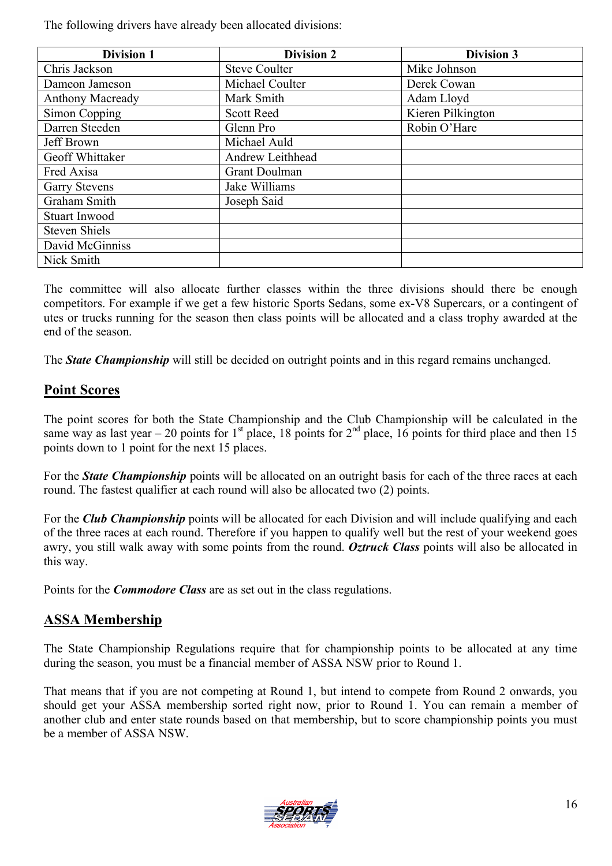The following drivers have already been allocated divisions:

| <b>Division 1</b>       | <b>Division 2</b>    | <b>Division 3</b> |
|-------------------------|----------------------|-------------------|
| Chris Jackson           | <b>Steve Coulter</b> | Mike Johnson      |
| Dameon Jameson          | Michael Coulter      | Derek Cowan       |
| <b>Anthony Macready</b> | Mark Smith           | Adam Lloyd        |
| Simon Copping           | <b>Scott Reed</b>    | Kieren Pilkington |
| Darren Steeden          | Glenn Pro            | Robin O'Hare      |
| Jeff Brown              | Michael Auld         |                   |
| Geoff Whittaker         | Andrew Leithhead     |                   |
| Fred Axisa              | Grant Doulman        |                   |
| <b>Garry Stevens</b>    | Jake Williams        |                   |
| Graham Smith            | Joseph Said          |                   |
| <b>Stuart Inwood</b>    |                      |                   |
| <b>Steven Shiels</b>    |                      |                   |
| David McGinniss         |                      |                   |
| Nick Smith              |                      |                   |

The committee will also allocate further classes within the three divisions should there be enough competitors. For example if we get a few historic Sports Sedans, some ex-V8 Supercars, or a contingent of utes or trucks running for the season then class points will be allocated and a class trophy awarded at the end of the season.

The *State Championship* will still be decided on outright points and in this regard remains unchanged.

#### **Point Scores**

The point scores for both the State Championship and the Club Championship will be calculated in the same way as last year – 20 points for 1<sup>st</sup> place, 18 points for 2<sup>nd</sup> place, 16 points for third place and then 15 points down to 1 point for the next 15 places.

For the *State Championship* points will be allocated on an outright basis for each of the three races at each round. The fastest qualifier at each round will also be allocated two (2) points.

For the *Club Championship* points will be allocated for each Division and will include qualifying and each of the three races at each round. Therefore if you happen to qualify well but the rest of your weekend goes awry, you still walk away with some points from the round. *Oztruck Class* points will also be allocated in this way.

Points for the *Commodore Class* are as set out in the class regulations.

### **ASSA Membership**

The State Championship Regulations require that for championship points to be allocated at any time during the season, you must be a financial member of ASSA NSW prior to Round 1.

That means that if you are not competing at Round 1, but intend to compete from Round 2 onwards, you should get your ASSA membership sorted right now, prior to Round 1. You can remain a member of another club and enter state rounds based on that membership, but to score championship points you must be a member of ASSA NSW.

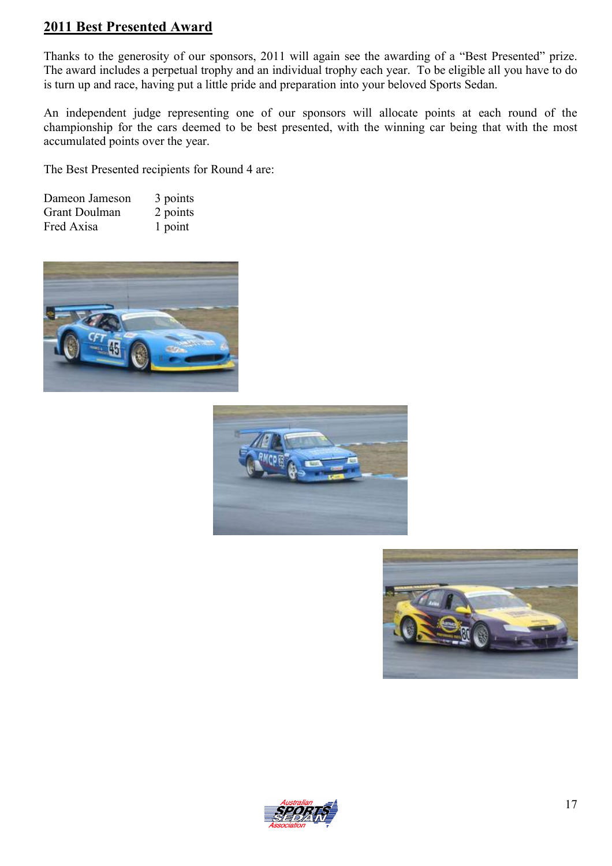#### **2011 Best Presented Award**

Thanks to the generosity of our sponsors, 2011 will again see the awarding of a "Best Presented" prize. The award includes a perpetual trophy and an individual trophy each year. To be eligible all you have to do is turn up and race, having put a little pride and preparation into your beloved Sports Sedan.

An independent judge representing one of our sponsors will allocate points at each round of the championship for the cars deemed to be best presented, with the winning car being that with the most accumulated points over the year.

The Best Presented recipients for Round 4 are:

| Dameon Jameson | 3 points |
|----------------|----------|
| Grant Doulman  | 2 points |
| Fred Axisa     | 1 point  |







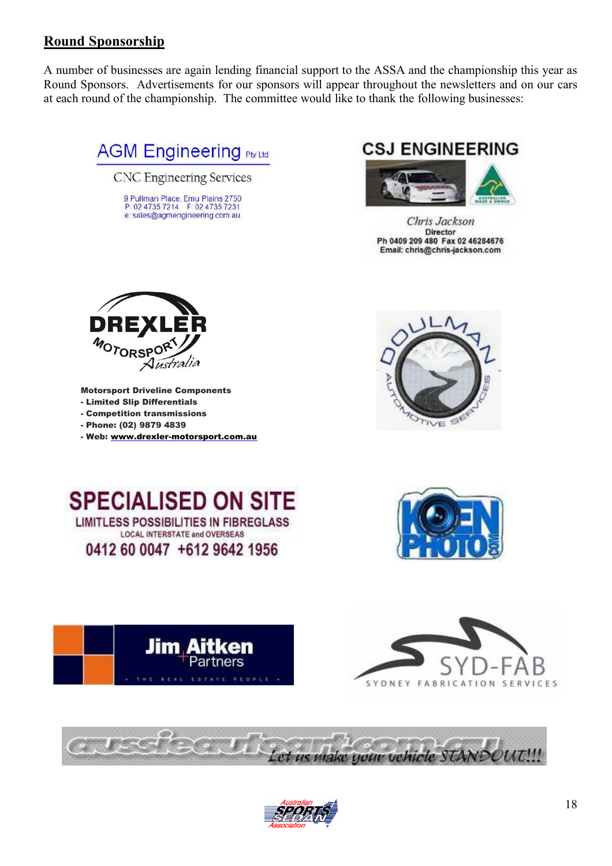#### **Round Sponsorship**

A number of businesses are again lending financial support to the ASSA and the championship this year as Round Sponsors. Advertisements for our sponsors will appear throughout the newsletters and on our cars at each round of the championship. The committee would like to thank the following businesses:



# **CSJ ENGINEERING**



Chris Jackson Director Ph 0409 209 480 Fax 02 46284676 Email: chris@chris-jackson.com













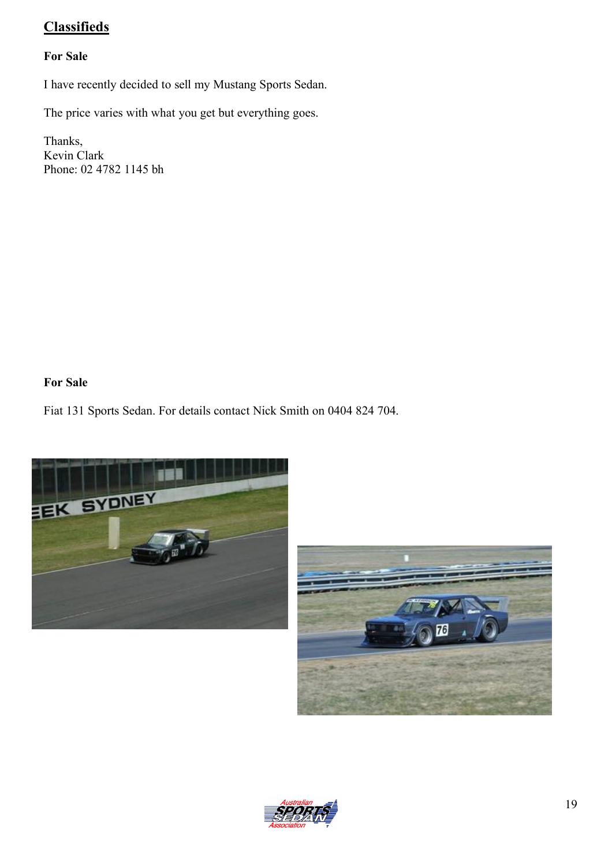## **Classifieds**

#### **For Sale**

I have recently decided to sell my Mustang Sports Sedan.

The price varies with what you get but everything goes.

Thanks, Kevin Clark Phone: 02 4782 1145 bh

#### **For Sale**

Fiat 131 Sports Sedan. For details contact Nick Smith on 0404 824 704.





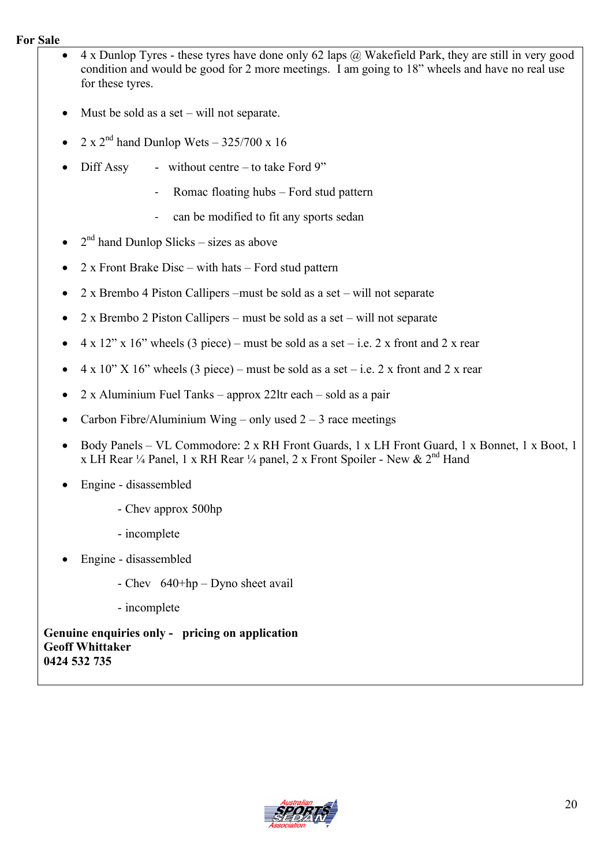#### **For Sale**

- 4 x Dunlop Tyres these tyres have done only 62 laps @ Wakefield Park, they are still in very good condition and would be good for 2 more meetings. I am going to 18" wheels and have no real use for these tyres.
- Must be sold as a set will not separate.
- 2 x  $2^{\text{nd}}$  hand Dunlop Wets 325/700 x 16
- Diff Assy without centre to take Ford 9"
	- Romac floating hubs Ford stud pattern
	- can be modified to fit any sports sedan
- $\bullet$  2<sup>nd</sup> hand Dunlop Slicks sizes as above
- 2 x Front Brake Disc with hats Ford stud pattern
- 2 x Brembo 4 Piston Callipers –must be sold as a set will not separate
- 2 x Brembo 2 Piston Callipers must be sold as a set will not separate
- $\bullet$  4 x 12" x 16" wheels (3 piece) must be sold as a set i.e. 2 x front and 2 x rear
- $4 \times 10''$  X 16" wheels (3 piece) must be sold as a set i.e. 2 x front and 2 x rear
- 2 x Aluminium Fuel Tanks approx 22ltr each sold as a pair
- Carbon Fibre/Aluminium Wing only used  $2 3$  race meetings
- Body Panels VL Commodore: 2 x RH Front Guards, 1 x LH Front Guard, 1 x Bonnet, 1 x Boot, 1 x LH Rear ¼ Panel, 1 x RH Rear ¼ panel, 2 x Front Spoiler - New &  $2<sup>nd</sup>$  Hand
- Engine disassembled
	- Chev approx 500hp
	- incomplete
- Engine disassembled
	- Chev 640+hp Dyno sheet avail
	- incomplete

**Genuine enquiries only - pricing on application Geoff Whittaker 0424 532 735** 

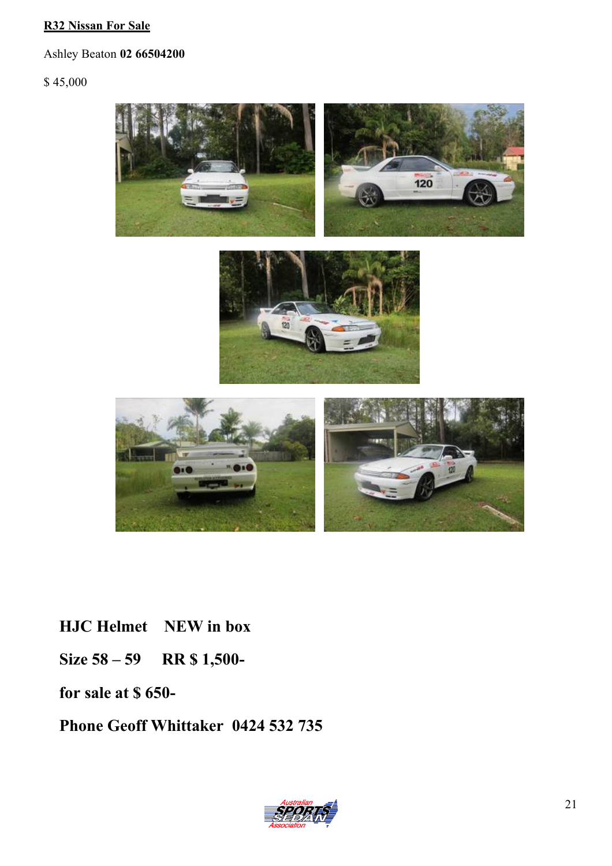#### **R32 Nissan For Sale**

Ashley Beaton **02 66504200**

\$ 45,000



**HJC Helmet NEW in box**

**Size 58 – 59 RR \$ 1,500-**

**for sale at \$ 650-**

**Phone Geoff Whittaker 0424 532 735**

![](_page_20_Picture_8.jpeg)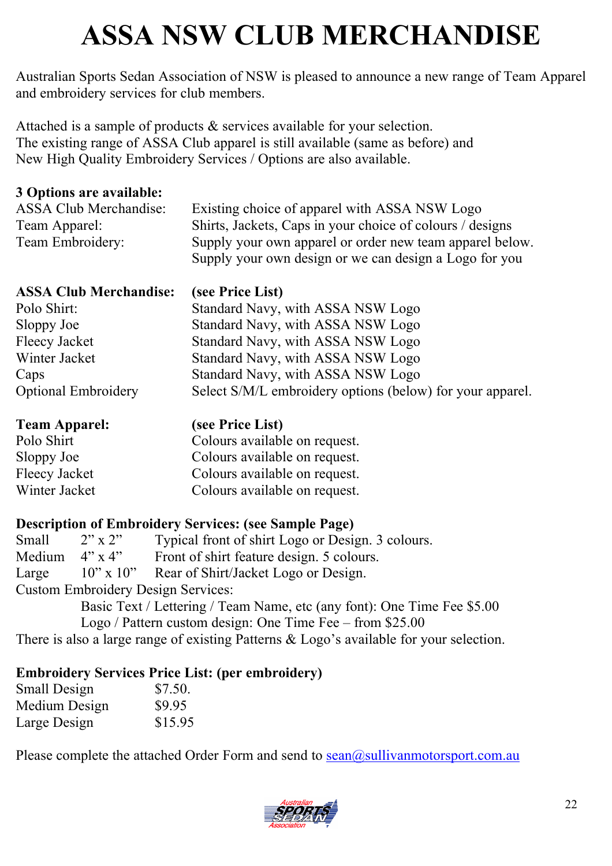# **ASSA NSW CLUB MERCHANDISE**

Australian Sports Sedan Association of NSW is pleased to announce a new range of Team Apparel and embroidery services for club members.

Attached is a sample of products & services available for your selection. The existing range of ASSA Club apparel is still available (same as before) and New High Quality Embroidery Services / Options are also available.

#### **3 Options are available:**

| ASSA Club Merchandise: | Existing choice of apparel with ASSA NSW Logo             |
|------------------------|-----------------------------------------------------------|
| Team Apparel:          | Shirts, Jackets, Caps in your choice of colours / designs |
| Team Embroidery:       | Supply your own apparel or order new team apparel below.  |
|                        | Supply your own design or we can design a Logo for you    |

| <b>ASSA Club Merchandise:</b> | (see Price List)                                          |
|-------------------------------|-----------------------------------------------------------|
| Polo Shirt:                   | Standard Navy, with ASSA NSW Logo                         |
| Sloppy Joe                    | Standard Navy, with ASSA NSW Logo                         |
| Fleecy Jacket                 | Standard Navy, with ASSA NSW Logo                         |
| Winter Jacket                 | Standard Navy, with ASSA NSW Logo                         |
| Caps                          | Standard Navy, with ASSA NSW Logo                         |
| <b>Optional Embroidery</b>    | Select S/M/L embroidery options (below) for your apparel. |

| <b>Team Apparel:</b> | (see Price List)              |
|----------------------|-------------------------------|
| Polo Shirt           | Colours available on request. |
| Sloppy Joe           | Colours available on request. |
| Fleecy Jacket        | Colours available on request. |
| Winter Jacket        | Colours available on request. |

### **Description of Embroidery Services: (see Sample Page)**

| Small                                     | $2" \times 2"$ | Typical front of shirt Logo or Design. 3 colours.                       |
|-------------------------------------------|----------------|-------------------------------------------------------------------------|
| Medium $4'' \times 4''$                   |                | Front of shirt feature design. 5 colours.                               |
| Large                                     |                | 10" x 10" Rear of Shirt/Jacket Logo or Design.                          |
| <b>Custom Embroidery Design Services:</b> |                |                                                                         |
|                                           |                | Basic Text / Lettering / Team Name, etc (any font): One Time Fee \$5.00 |

Logo / Pattern custom design: One Time Fee – from \$25.00

There is also a large range of existing Patterns & Logo's available for your selection.

# **Embroidery Services Price List: (per embroidery)**

| <b>Small Design</b> | \$7.50. |
|---------------------|---------|
| Medium Design       | \$9.95  |
| Large Design        | \$15.95 |

Please complete the attached Order Form and send to  $\text{sean}(a)$  sullivanmotorsport.com.au

![](_page_21_Picture_14.jpeg)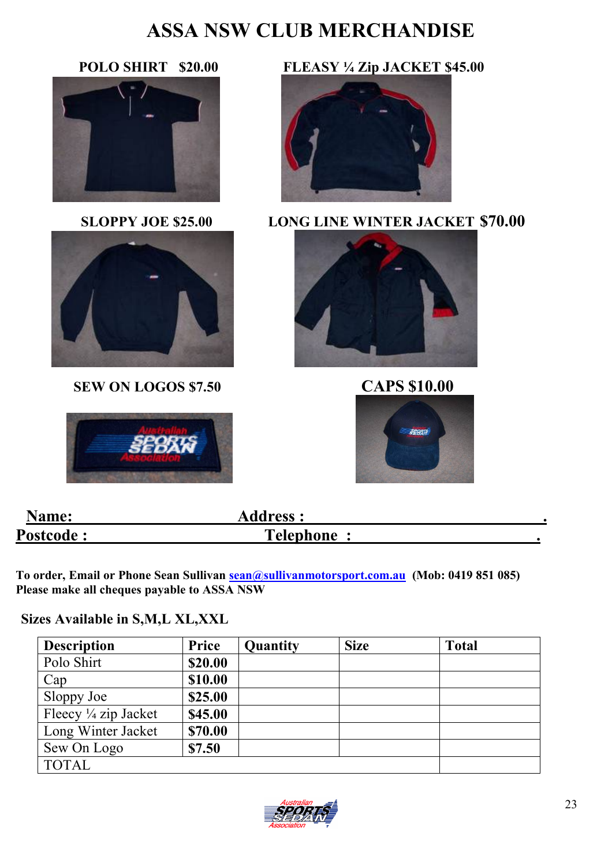# **ASSA NSW CLUB MERCHANDISE**

![](_page_22_Picture_2.jpeg)

![](_page_22_Picture_4.jpeg)

**SEW ON LOGOS \$7.50 CAPS \$10.00** 

![](_page_22_Picture_6.jpeg)

### **POLO SHIRT \$20.00 FLEASY Å Zip JACKET \$45.00**

![](_page_22_Picture_8.jpeg)

**SLOPPY JOE \$25.00 LONG LINE WINTER JACKET \$70.00**

![](_page_22_Picture_10.jpeg)

![](_page_22_Picture_12.jpeg)

| <b>Name:</b>     | <b>Address:</b>  |  |
|------------------|------------------|--|
| <b>Postcode:</b> | <b>Telephone</b> |  |

**To order, Email or Phone Sean Sullivan [sean@sullivanmotorsport.com.au](mailto:sean@sullivanmotorsport.com.au) (Mob: 0419 851 085) Please make all cheques payable to ASSA NSW** 

#### **Sizes Available in S,M,L XL,XXL**

| <b>Description</b>              | Price   | Quantity | <b>Size</b> | <b>Total</b> |
|---------------------------------|---------|----------|-------------|--------------|
| Polo Shirt                      | \$20.00 |          |             |              |
| Cap                             | \$10.00 |          |             |              |
| Sloppy Joe                      | \$25.00 |          |             |              |
| Fleecy $\frac{1}{4}$ zip Jacket | \$45.00 |          |             |              |
| Long Winter Jacket              | \$70.00 |          |             |              |
| Sew On Logo                     | \$7.50  |          |             |              |
| <b>TOTAL</b>                    |         |          |             |              |

![](_page_22_Picture_17.jpeg)